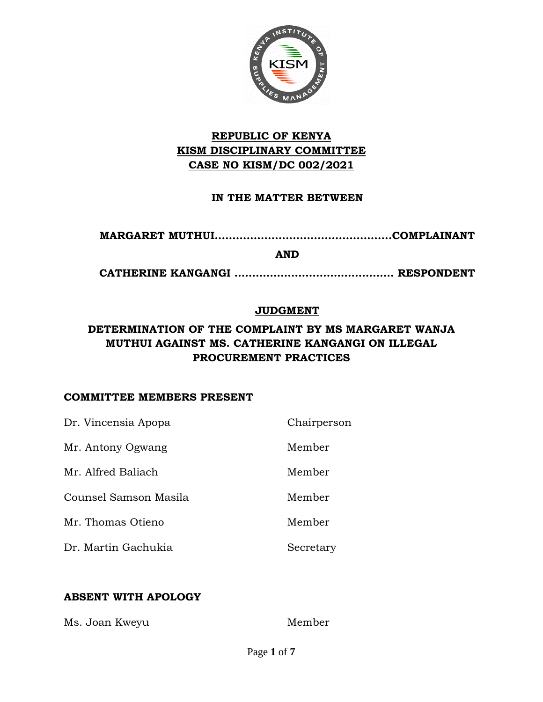

### **REPUBLIC OF KENYA KISM DISCIPLINARY COMMITTEE CASE NO KISM/DC 002/2021**

#### **IN THE MATTER BETWEEN**

**MARGARET MUTHUI…………………………………………..COMPLAINANT**

**AND**

**CATHERINE KANGANGI ……………………………………… RESPONDENT**

#### **JUDGMENT**

### **DETERMINATION OF THE COMPLAINT BY MS MARGARET WANJA MUTHUI AGAINST MS. CATHERINE KANGANGI ON ILLEGAL PROCUREMENT PRACTICES**

#### **COMMITTEE MEMBERS PRESENT**

| Dr. Vincensia Apopa   | Chairperson |
|-----------------------|-------------|
| Mr. Antony Ogwang     | Member      |
| Mr. Alfred Baliach    | Member      |
| Counsel Samson Masila | Member      |
| Mr. Thomas Otieno     | Member      |
| Dr. Martin Gachukia   | Secretary   |

#### **ABSENT WITH APOLOGY**

Ms. Joan Kweyu Member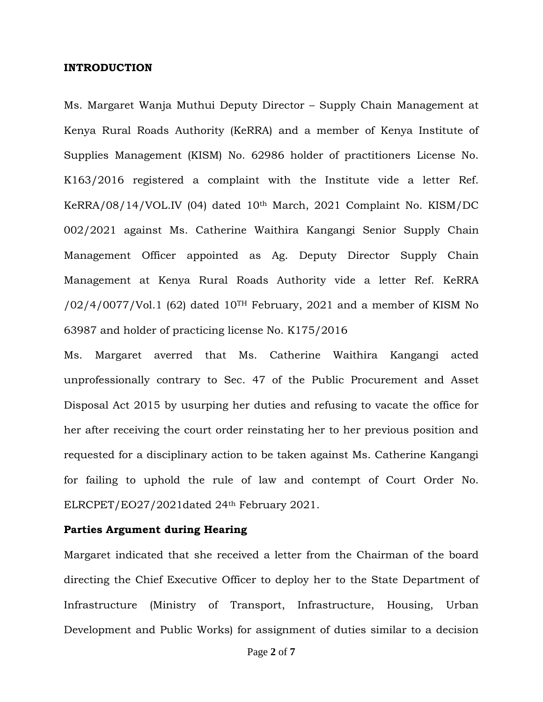#### **INTRODUCTION**

Ms. Margaret Wanja Muthui Deputy Director – Supply Chain Management at Kenya Rural Roads Authority (KeRRA) and a member of Kenya Institute of Supplies Management (KISM) No. 62986 holder of practitioners License No. K163/2016 registered a complaint with the Institute vide a letter Ref. KeRRA/08/14/VOL.IV (04) dated 10th March, 2021 Complaint No. KISM/DC 002/2021 against Ms. Catherine Waithira Kangangi Senior Supply Chain Management Officer appointed as Ag. Deputy Director Supply Chain Management at Kenya Rural Roads Authority vide a letter Ref. KeRRA  $/02/4/0077$ /Vol.1 (62) dated 10<sup>TH</sup> February, 2021 and a member of KISM No 63987 and holder of practicing license No. K175/2016

Ms. Margaret averred that Ms. Catherine Waithira Kangangi acted unprofessionally contrary to Sec. 47 of the Public Procurement and Asset Disposal Act 2015 by usurping her duties and refusing to vacate the office for her after receiving the court order reinstating her to her previous position and requested for a disciplinary action to be taken against Ms. Catherine Kangangi for failing to uphold the rule of law and contempt of Court Order No. ELRCPET/EO27/2021dated 24th February 2021.

#### **Parties Argument during Hearing**

Margaret indicated that she received a letter from the Chairman of the board directing the Chief Executive Officer to deploy her to the State Department of Infrastructure (Ministry of Transport, Infrastructure, Housing, Urban Development and Public Works) for assignment of duties similar to a decision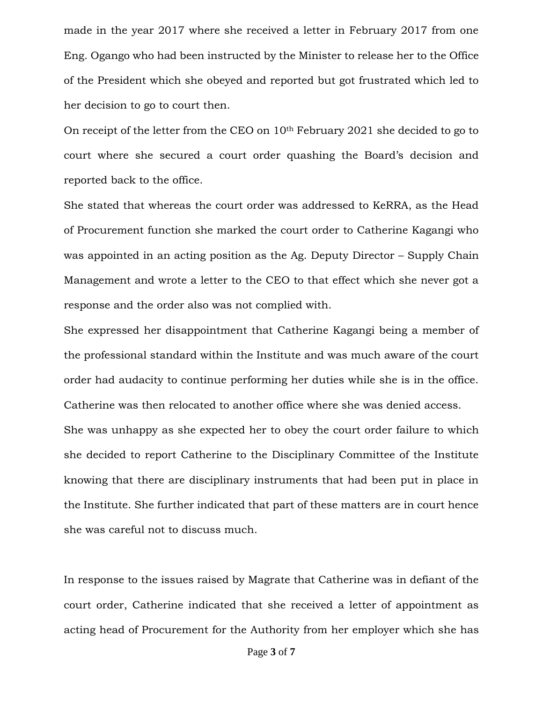made in the year 2017 where she received a letter in February 2017 from one Eng. Ogango who had been instructed by the Minister to release her to the Office of the President which she obeyed and reported but got frustrated which led to her decision to go to court then.

On receipt of the letter from the CEO on 10th February 2021 she decided to go to court where she secured a court order quashing the Board's decision and reported back to the office.

She stated that whereas the court order was addressed to KeRRA, as the Head of Procurement function she marked the court order to Catherine Kagangi who was appointed in an acting position as the Ag. Deputy Director – Supply Chain Management and wrote a letter to the CEO to that effect which she never got a response and the order also was not complied with.

She expressed her disappointment that Catherine Kagangi being a member of the professional standard within the Institute and was much aware of the court order had audacity to continue performing her duties while she is in the office. Catherine was then relocated to another office where she was denied access. She was unhappy as she expected her to obey the court order failure to which she decided to report Catherine to the Disciplinary Committee of the Institute knowing that there are disciplinary instruments that had been put in place in the Institute. She further indicated that part of these matters are in court hence she was careful not to discuss much.

In response to the issues raised by Magrate that Catherine was in defiant of the court order, Catherine indicated that she received a letter of appointment as acting head of Procurement for the Authority from her employer which she has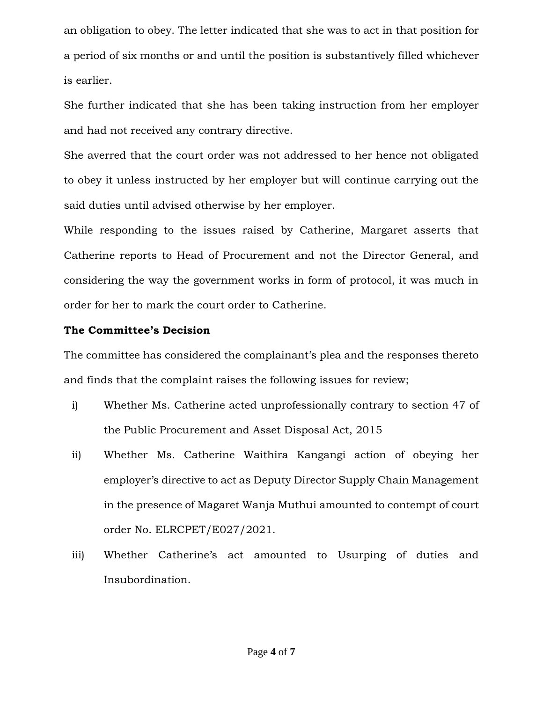an obligation to obey. The letter indicated that she was to act in that position for a period of six months or and until the position is substantively filled whichever is earlier.

She further indicated that she has been taking instruction from her employer and had not received any contrary directive.

She averred that the court order was not addressed to her hence not obligated to obey it unless instructed by her employer but will continue carrying out the said duties until advised otherwise by her employer.

While responding to the issues raised by Catherine, Margaret asserts that Catherine reports to Head of Procurement and not the Director General, and considering the way the government works in form of protocol, it was much in order for her to mark the court order to Catherine.

#### **The Committee's Decision**

The committee has considered the complainant's plea and the responses thereto and finds that the complaint raises the following issues for review;

- i) Whether Ms. Catherine acted unprofessionally contrary to section 47 of the Public Procurement and Asset Disposal Act, 2015
- ii) Whether Ms. Catherine Waithira Kangangi action of obeying her employer's directive to act as Deputy Director Supply Chain Management in the presence of Magaret Wanja Muthui amounted to contempt of court order No. ELRCPET/E027/2021.
- iii) Whether Catherine's act amounted to Usurping of duties and Insubordination.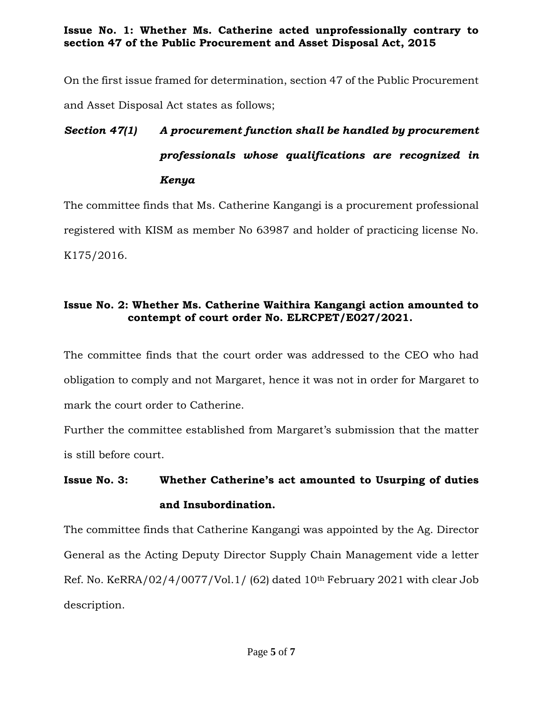**Issue No. 1: Whether Ms. Catherine acted unprofessionally contrary to section 47 of the Public Procurement and Asset Disposal Act, 2015**

On the first issue framed for determination, section 47 of the Public Procurement and Asset Disposal Act states as follows;

# *Section 47(1) A procurement function shall be handled by procurement professionals whose qualifications are recognized in Kenya*

The committee finds that Ms. Catherine Kangangi is a procurement professional registered with KISM as member No 63987 and holder of practicing license No. K175/2016.

#### **Issue No. 2: Whether Ms. Catherine Waithira Kangangi action amounted to contempt of court order No. ELRCPET/E027/2021.**

The committee finds that the court order was addressed to the CEO who had obligation to comply and not Margaret, hence it was not in order for Margaret to mark the court order to Catherine.

Further the committee established from Margaret's submission that the matter is still before court.

# **Issue No. 3: Whether Catherine's act amounted to Usurping of duties and Insubordination.**

The committee finds that Catherine Kangangi was appointed by the Ag. Director General as the Acting Deputy Director Supply Chain Management vide a letter Ref. No. KeRRA/02/4/0077/Vol.1/ (62) dated 10th February 2021 with clear Job description.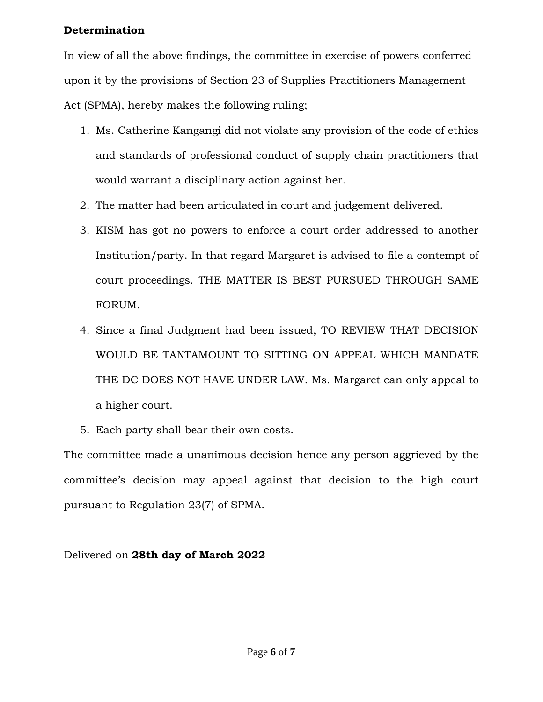#### **Determination**

In view of all the above findings, the committee in exercise of powers conferred upon it by the provisions of Section 23 of Supplies Practitioners Management Act (SPMA), hereby makes the following ruling;

- 1. Ms. Catherine Kangangi did not violate any provision of the code of ethics and standards of professional conduct of supply chain practitioners that would warrant a disciplinary action against her.
- 2. The matter had been articulated in court and judgement delivered.
- 3. KISM has got no powers to enforce a court order addressed to another Institution/party. In that regard Margaret is advised to file a contempt of court proceedings. THE MATTER IS BEST PURSUED THROUGH SAME FORUM.
- 4. Since a final Judgment had been issued, TO REVIEW THAT DECISION WOULD BE TANTAMOUNT TO SITTING ON APPEAL WHICH MANDATE THE DC DOES NOT HAVE UNDER LAW. Ms. Margaret can only appeal to a higher court.
- 5. Each party shall bear their own costs.

The committee made a unanimous decision hence any person aggrieved by the committee's decision may appeal against that decision to the high court pursuant to Regulation 23(7) of SPMA.

### Delivered on **28th day of March 2022**